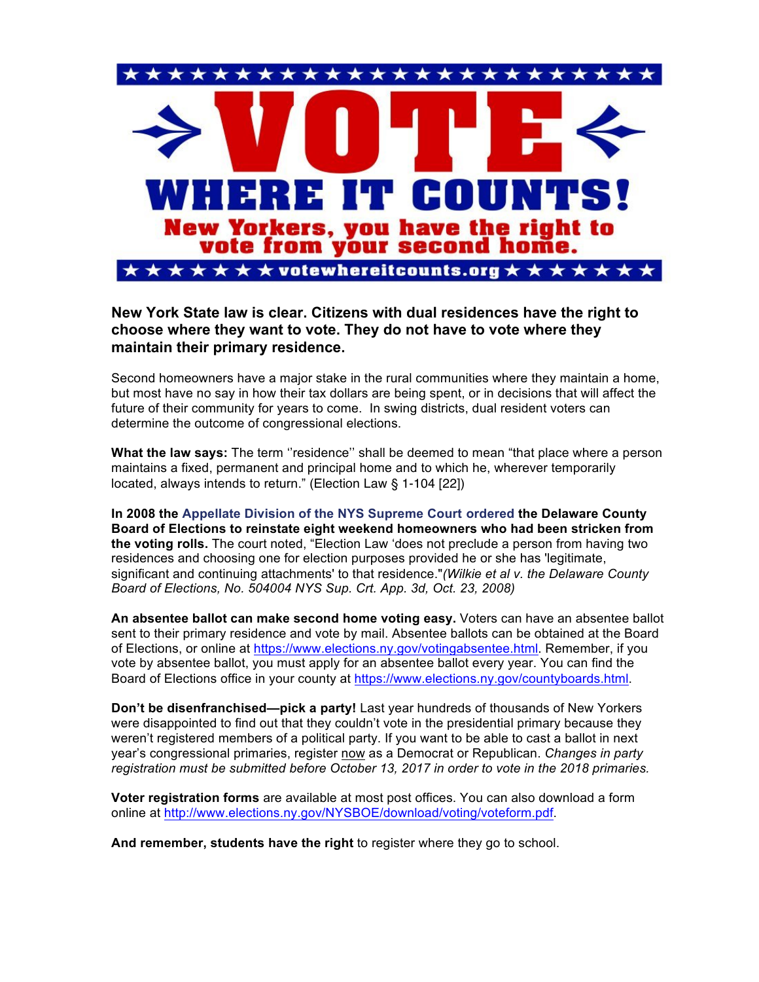

**New York State law is clear. Citizens with dual residences have the right to choose where they want to vote. They do not have to vote where they maintain their primary residence.**

Second homeowners have a major stake in the rural communities where they maintain a home, but most have no say in how their tax dollars are being spent, or in decisions that will affect the future of their community for years to come. In swing districts, dual resident voters can determine the outcome of congressional elections.

**What the law says:** The term ''residence'' shall be deemed to mean "that place where a person maintains a fixed, permanent and principal home and to which he, wherever temporarily located, always intends to return." (Election Law § 1-104 [22])

**In 2008 the Appellate Division of the NYS Supreme Court ordered the Delaware County Board of Elections to reinstate eight weekend homeowners who had been stricken from the voting rolls.** The court noted, "Election Law 'does not preclude a person from having two residences and choosing one for election purposes provided he or she has 'legitimate, significant and continuing attachments' to that residence."*(Wilkie et al v. the Delaware County Board of Elections, No. 504004 NYS Sup. Crt. App. 3d, Oct. 23, 2008)*

**An absentee ballot can make second home voting easy.** Voters can have an absentee ballot sent to their primary residence and vote by mail. Absentee ballots can be obtained at the Board of Elections, or online at https://www.elections.ny.gov/votingabsentee.html. Remember, if you vote by absentee ballot, you must apply for an absentee ballot every year. You can find the Board of Elections office in your county at https://www.elections.ny.gov/countyboards.html.

**Don't be disenfranchised—pick a party!** Last year hundreds of thousands of New Yorkers were disappointed to find out that they couldn't vote in the presidential primary because they weren't registered members of a political party. If you want to be able to cast a ballot in next year's congressional primaries, register now as a Democrat or Republican. *Changes in party registration must be submitted before October 13, 2017 in order to vote in the 2018 primaries.*

**Voter registration forms** are available at most post offices. You can also download a form online at http://www.elections.ny.gov/NYSBOE/download/voting/voteform.pdf.

**And remember, students have the right** to register where they go to school.